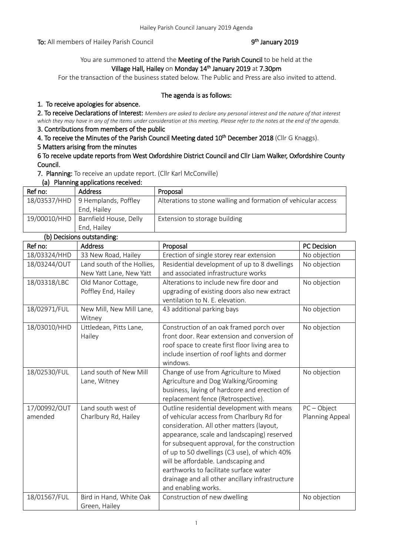To: All members of Hailey Parish Council

# <sup>th</sup> January 2019

# You are summoned to attend the Meeting of the Parish Council to be held at the Village Hall, Hailey on Monday 14<sup>th</sup> January 2019 at 7.30pm

For the transaction of the business stated below. The Public and Press are also invited to attend.

#### The agenda is as follows:

## 1. To receive apologies for absence.

2. To receive Declarations of Interest: *Members are asked to declare any personal interest and the nature of that interest which they may have in any of the items under consideration at this meeting. Please refer to the notes at the end of the agenda.*

# 3. Contributions from members of the public

4. To receive the Minutes of the Parish Council Meeting dated 10<sup>th</sup> December 2018 (Cllr G Knaggs).

## 5 Matters arising from the minutes

#### 6 To receive update reports from West Oxfordshire District Council and Cllr Liam Walker, Oxfordshire County Council.

7. Planning: To receive an update report. (Cllr Karl McConville)

#### (a) Planning applications received:

| Ref no:      | Address                             | Proposal                                                       |
|--------------|-------------------------------------|----------------------------------------------------------------|
|              | $18/03537/HHD$ 9 Hemplands, Poffley | Alterations to stone walling and formation of vehicular access |
|              | End, Hailey                         |                                                                |
| 19/00010/HHD | Barnfield House, Delly              | Extension to storage building                                  |
|              | End, Hailey                         |                                                                |

# (b) Decisions outstanding:

| Ref no:      | Address                            | Proposal                                                                                 | PC Decision     |
|--------------|------------------------------------|------------------------------------------------------------------------------------------|-----------------|
| 18/03324/HHD | 33 New Road, Hailey                | Erection of single storey rear extension                                                 | No objection    |
| 18/03244/OUT | Land south of the Hollies,         | Residential development of up to 8 dwellings                                             | No objection    |
|              | New Yatt Lane, New Yatt            | and associated infrastructure works                                                      |                 |
| 18/03318/LBC | Old Manor Cottage,                 | Alterations to include new fire door and                                                 | No objection    |
|              | Poffley End, Hailey                | upgrading of existing doors also new extract                                             |                 |
|              |                                    | ventilation to N. E. elevation.                                                          |                 |
| 18/02971/FUL | New Mill, New Mill Lane,<br>Witney | 43 additional parking bays                                                               | No objection    |
| 18/03010/HHD | Littledean, Pitts Lane,            | Construction of an oak framed porch over                                                 | No objection    |
|              | Hailey                             | front door. Rear extension and conversion of                                             |                 |
|              |                                    | roof space to create first floor living area to                                          |                 |
|              |                                    | include insertion of roof lights and dormer                                              |                 |
|              |                                    | windows.                                                                                 |                 |
| 18/02530/FUL | Land south of New Mill             | Change of use from Agriculture to Mixed                                                  | No objection    |
|              | Lane, Witney                       | Agriculture and Dog Walking/Grooming                                                     |                 |
|              |                                    | business, laying of hardcore and erection of                                             |                 |
|              |                                    | replacement fence (Retrospective).                                                       |                 |
| 17/00992/OUT | Land south west of                 | Outline residential development with means                                               | $PC - Object$   |
| amended      | Charlbury Rd, Hailey               | of vehicular access from Charlbury Rd for                                                | Planning Appeal |
|              |                                    | consideration. All other matters (layout,<br>appearance, scale and landscaping) reserved |                 |
|              |                                    | for subsequent approval, for the construction                                            |                 |
|              |                                    | of up to 50 dwellings (C3 use), of which 40%                                             |                 |
|              |                                    | will be affordable. Landscaping and                                                      |                 |
|              |                                    | earthworks to facilitate surface water                                                   |                 |
|              |                                    | drainage and all other ancillary infrastructure                                          |                 |
|              |                                    | and enabling works.                                                                      |                 |
| 18/01567/FUL | Bird in Hand, White Oak            | Construction of new dwelling                                                             | No objection    |
|              | Green, Hailey                      |                                                                                          |                 |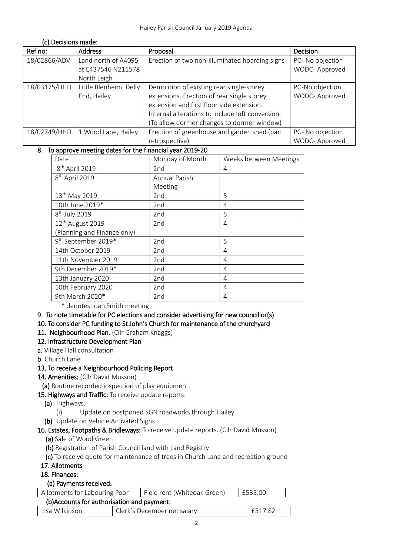| (C) Decisions made: |                                           |                                                  |                                   |
|---------------------|-------------------------------------------|--------------------------------------------------|-----------------------------------|
| Ref no:             | <b>Address</b>                            | Proposal                                         | <b>Decision</b>                   |
| 18/02866/ADV        | Land north of A4095<br>at E437546 N211578 | Erection of two non-illuminated hoarding signs   | PC- No objection<br>WODC-Approved |
|                     | North Leigh                               |                                                  |                                   |
| 18/03175/HHD        | Little Blenheim, Delly                    | Demolition of existing rear single-storey        | PC-No objection                   |
|                     | End, Hailey                               | extensions. Erection of rear single storey       | WODC-Approved                     |
|                     |                                           | extension and first floor side extension.        |                                   |
|                     |                                           | Internal alterations to include loft conversion. |                                   |
|                     |                                           | (To allow dormer changes to dormer window)       |                                   |
| 18/02749/HHD        | 1 Wood Lane, Hailey                       | Erection of greenhouse and garden shed (part     | PC- No objection                  |
|                     |                                           | retrospective)                                   | WODC-Approved                     |

## 8. To approve meeting dates for the financial year 2019-20

| Date                            | Monday of Month | Weeks between Meetings |
|---------------------------------|-----------------|------------------------|
| 8 <sup>th</sup> April 2019      | 2nd             | 4                      |
| 8 <sup>th</sup> April 2019      | Annual Parish   |                        |
|                                 | Meeting         |                        |
| 13 <sup>th</sup> May 2019       | 2nd             | 5                      |
| 10th June 2019*                 | 2nd             | 4                      |
| 8 <sup>th</sup> July 2019       | 2nd             | 5                      |
| 12 <sup>th</sup> August 2019    | 2nd             | 4                      |
| (Planning and Finance only)     |                 |                        |
| 9 <sup>th</sup> September 2019* | 2nd             | 5                      |
| 14th October 2019               | 2nd             | 4                      |
| 11th November 2019              | 2nd             | 4                      |
| 9th December 2019*              | 2 <sub>nd</sub> | 4                      |
| 13th January 2020               | 2nd             | 4                      |
| 10th February 2020              | 2nd             | 4                      |
| 9th March 2020*                 | 2 <sub>nd</sub> | 4                      |

\* denotes Joan Smith meeting

## 9. To note timetable for PC elections and consider advertising for new councillor(s)

## 10. To consider PC funding to St John's Church for maintenance of the churchyard

## 11. Neighbourhood Plan. (Cllr Graham Knaggs)

## 12. Infrastructure Development Plan

a. Village Hall consultation

(c) Decisions made:

b. Church Lane

## 13. To receive a Neighbourhood Policing Report.

14. Amenities: (Cllr David Musson)

(a) Routine recorded inspection of play equipment.

## 15. Highways and Traffic: To receive update reports.

- (a) Highways.
	- (i) Update on postponed SGN roadworks through Hailey
- (b) Update on Vehicle Activated Signs

## 16. Estates, Footpaths & Bridleways: To receive update reports. (Cllr David Musson)

- (a) Sale of Wood Green
- (b) Registration of Parish Council land with Land Registry
- (c) To receive quote for maintenance of trees in Church Lane and recreation ground
- 17. Allotments

## 18. Finances:

## (a) Payments received:

| Allotments for Labouring Poor               |                             | Field rent (Whiteoak Green) |         | £535.00 |
|---------------------------------------------|-----------------------------|-----------------------------|---------|---------|
| (b) Accounts for authorisation and payment: |                             |                             |         |         |
| Lisa Wilkinson                              | Clerk's December net salary |                             | £517.82 |         |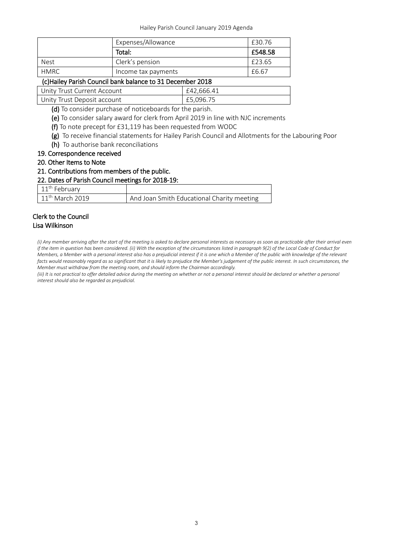|                                                            | Expenses/Allowance  |            | £30.76  |
|------------------------------------------------------------|---------------------|------------|---------|
|                                                            | Total:              |            | £548.58 |
| <b>Nest</b>                                                | Clerk's pension     |            | £23.65  |
| <b>HMRC</b>                                                | Income tax payments |            | £6.67   |
| (c) Hailey Parish Council bank balance to 31 December 2018 |                     |            |         |
| Unity Trust Current Account                                |                     | £42,666.41 |         |
| Unity Trust Deposit account                                |                     | £5,096.75  |         |

(d) To consider purchase of noticeboards for the parish.

(e) To consider salary award for clerk from April 2019 in line with NJC increments

- (f) To note precept for £31,119 has been requested from WODC
- (g) To receive financial statements for Hailey Parish Council and Allotments for the Labouring Poor
- (h) To authorise bank reconciliations

#### 19. Correspondence received

20. Other Items to Note

#### 21. Contributions from members of the public.

# 22. Dates of Parish Council meetings for 2018-19:

| $\vert$ 11 <sup>th</sup> February |                                            |
|-----------------------------------|--------------------------------------------|
| $11th$ March 2019                 | And Joan Smith Educational Charity meeting |

#### Clerk to the Council Lisa Wilkinson

*(i) Any member arriving after the start of the meeting is asked to declare personal interests as necessary as soon as practicable after their arrival even if the item in question has been considered. (ii) With the exception of the circumstances listed in paragraph 9(2) of the Local Code of Conduct for Members, a Member with a personal interest also has a prejudicial interest if it is one which a Member of the public with knowledge of the relevant facts would reasonably regard as so significant that it is likely to prejudice the Member's judgement of the public interest. In such circumstances, the Member must withdraw from the meeting room, and should inform the Chairman accordingly.*

*(iii)* It is not practical to offer detailed advice during the meeting on whether or not a personal interest should be declared or whether a personal *interest should also be regarded as prejudicial.*